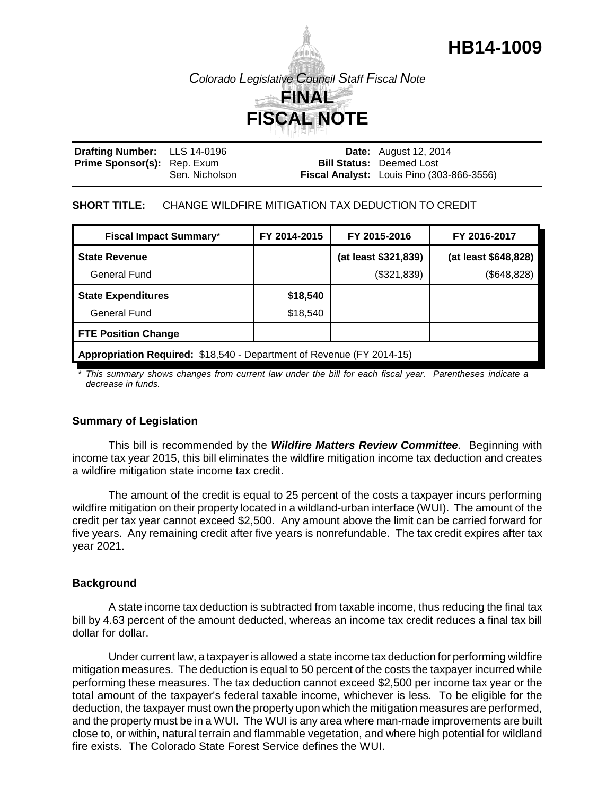# **HB14-1009**



| Drafting Number: LLS 14-0196       |                | <b>Date:</b> August 12, 2014              |
|------------------------------------|----------------|-------------------------------------------|
| <b>Prime Sponsor(s):</b> Rep. Exum |                | <b>Bill Status: Deemed Lost</b>           |
|                                    | Sen. Nicholson | Fiscal Analyst: Louis Pino (303-866-3556) |

#### **SHORT TITLE:** CHANGE WILDFIRE MITIGATION TAX DEDUCTION TO CREDIT

| <b>Fiscal Impact Summary*</b>                                         | FY 2014-2015 | FY 2015-2016         | FY 2016-2017         |  |  |
|-----------------------------------------------------------------------|--------------|----------------------|----------------------|--|--|
| <b>State Revenue</b>                                                  |              | (at least \$321,839) | (at least \$648,828) |  |  |
| General Fund                                                          |              | (\$321,839)          | (\$648, 828)         |  |  |
| <b>State Expenditures</b>                                             | \$18,540     |                      |                      |  |  |
| General Fund                                                          | \$18,540     |                      |                      |  |  |
| <b>FTE Position Change</b>                                            |              |                      |                      |  |  |
| Appropriation Required: \$18,540 - Department of Revenue (FY 2014-15) |              |                      |                      |  |  |

*\* This summary shows changes from current law under the bill for each fiscal year. Parentheses indicate a decrease in funds.*

#### **Summary of Legislation**

This bill is recommended by the *Wildfire Matters Review Committee.* Beginning with income tax year 2015, this bill eliminates the wildfire mitigation income tax deduction and creates a wildfire mitigation state income tax credit.

The amount of the credit is equal to 25 percent of the costs a taxpayer incurs performing wildfire mitigation on their property located in a wildland-urban interface (WUI). The amount of the credit per tax year cannot exceed \$2,500. Any amount above the limit can be carried forward for five years. Any remaining credit after five years is nonrefundable. The tax credit expires after tax year 2021.

#### **Background**

A state income tax deduction is subtracted from taxable income, thus reducing the final tax bill by 4.63 percent of the amount deducted, whereas an income tax credit reduces a final tax bill dollar for dollar.

Under current law, a taxpayer is allowed a state income tax deduction for performing wildfire mitigation measures. The deduction is equal to 50 percent of the costs the taxpayer incurred while performing these measures. The tax deduction cannot exceed \$2,500 per income tax year or the total amount of the taxpayer's federal taxable income, whichever is less. To be eligible for the deduction, the taxpayer must own the property upon which the mitigation measures are performed, and the property must be in a WUI. The WUI is any area where man-made improvements are built close to, or within, natural terrain and flammable vegetation, and where high potential for wildland fire exists. The Colorado State Forest Service defines the WUI.